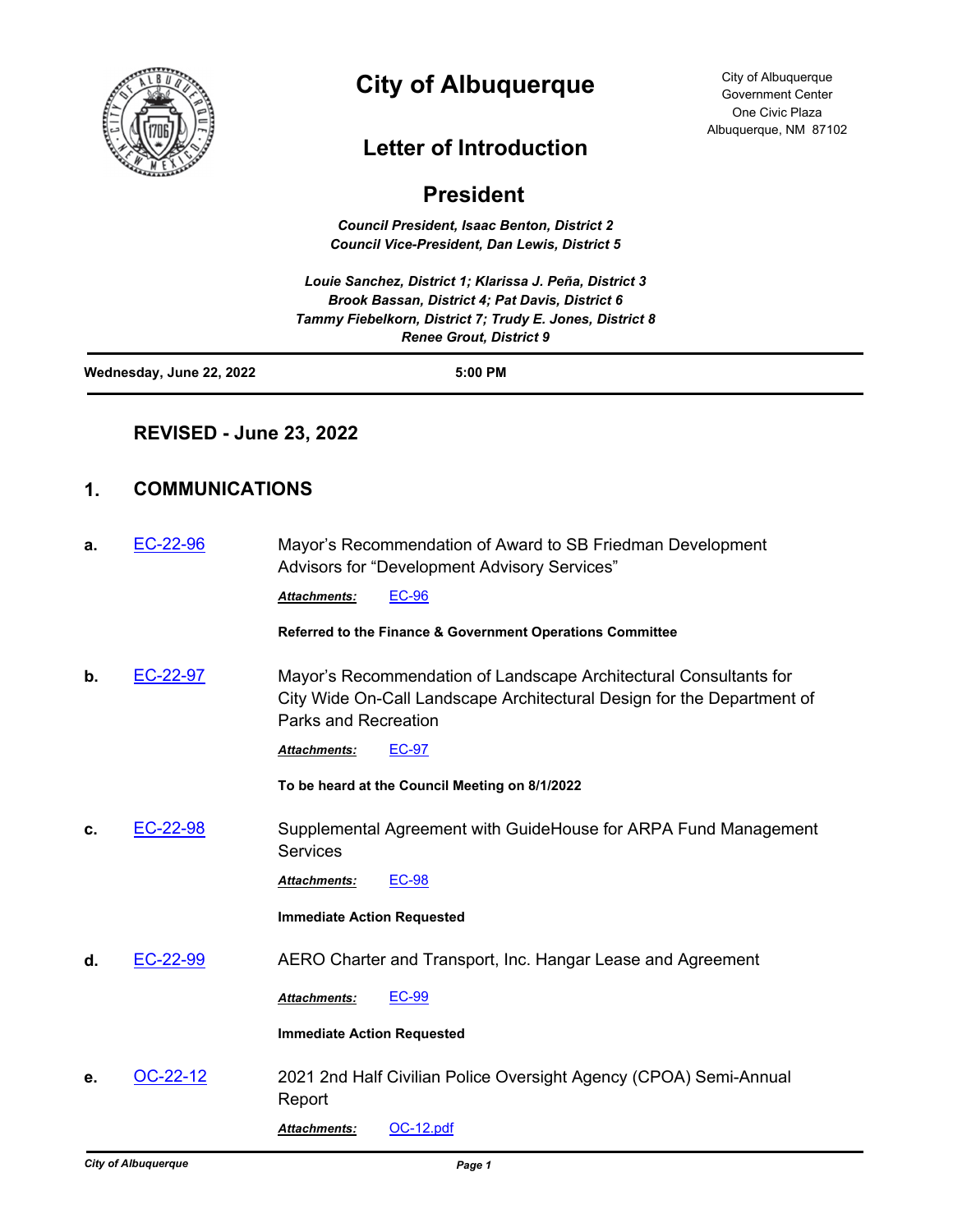

# **City of Albuquerque**

## **Letter of Introduction**

### **President**

*Council President, Isaac Benton, District 2 Council Vice-President, Dan Lewis, District 5*

*Louie Sanchez, District 1; Klarissa J. Peña, District 3 Brook Bassan, District 4; Pat Davis, District 6 Tammy Fiebelkorn, District 7; Trudy E. Jones, District 8 Renee Grout, District 9*

| Wednesday, June 22, 2022 | 5:00 PM |
|--------------------------|---------|
|                          |         |

#### **REVISED - June 23, 2022**

### **1. COMMUNICATIONS**

| а. | $EC-22-96$ | Mayor's Recommendation of Award to SB Friedman Development<br>Advisors for "Development Advisory Services"                                                          |  |
|----|------------|---------------------------------------------------------------------------------------------------------------------------------------------------------------------|--|
|    |            | <b>EC-96</b><br><b>Attachments:</b>                                                                                                                                 |  |
|    |            | Referred to the Finance & Government Operations Committee                                                                                                           |  |
| b. | EC-22-97   | Mayor's Recommendation of Landscape Architectural Consultants for<br>City Wide On-Call Landscape Architectural Design for the Department of<br>Parks and Recreation |  |
|    |            | <b>EC-97</b><br><b>Attachments:</b>                                                                                                                                 |  |
|    |            | To be heard at the Council Meeting on 8/1/2022                                                                                                                      |  |
| c. | EC-22-98   | Supplemental Agreement with GuideHouse for ARPA Fund Management<br><b>Services</b>                                                                                  |  |
|    |            | <b>EC-98</b><br><b>Attachments:</b>                                                                                                                                 |  |
|    |            | <b>Immediate Action Requested</b>                                                                                                                                   |  |
| d. | EC-22-99   | AERO Charter and Transport, Inc. Hangar Lease and Agreement                                                                                                         |  |
|    |            | <b>EC-99</b><br><b>Attachments:</b>                                                                                                                                 |  |
|    |            | <b>Immediate Action Requested</b>                                                                                                                                   |  |
| е. | OC-22-12   | 2021 2nd Half Civilian Police Oversight Agency (CPOA) Semi-Annual<br>Report                                                                                         |  |
|    |            |                                                                                                                                                                     |  |